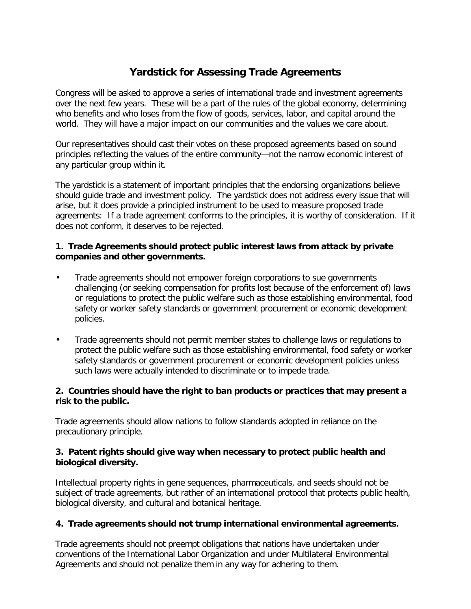# **Yardstick for Assessing Trade Agreements**

Congress will be asked to approve a series of international trade and investment agreements over the next few years. These will be a part of the rules of the global economy, determining who benefits and who loses from the flow of goods, services, labor, and capital around the world. They will have a major impact on our communities and the values we care about.

Our representatives should cast their votes on these proposed agreements based on sound principles reflecting the values of the entire community—not the narrow economic interest of any particular group within it.

The yardstick is a statement of important principles that the endorsing organizations believe should guide trade and investment policy. The yardstick does not address every issue that will arise, but it does provide a principled instrument to be used to measure proposed trade agreements: If a trade agreement conforms to the principles, it is worthy of consideration. If it does not conform, it deserves to be rejected.

#### **1. Trade Agreements should protect public interest laws from attack by private companies and other governments.**

- Trade agreements should not empower foreign corporations to sue governments challenging (or seeking compensation for profits lost because of the enforcement of) laws or regulations to protect the public welfare such as those establishing environmental, food safety or worker safety standards or government procurement or economic development policies.
- Trade agreements should not permit member states to challenge laws or regulations to protect the public welfare such as those establishing environmental, food safety or worker safety standards or government procurement or economic development policies unless such laws were actually intended to discriminate or to impede trade.

#### **2. Countries should have the right to ban products or practices that may present a risk to the public.**

Trade agreements should allow nations to follow standards adopted in reliance on the precautionary principle.

#### **3. Patent rights should give way when necessary to protect public health and biological diversity.**

Intellectual property rights in gene sequences, pharmaceuticals, and seeds should not be subject of trade agreements, but rather of an international protocol that protects public health, biological diversity, and cultural and botanical heritage.

## **4. Trade agreements should not trump international environmental agreements.**

Trade agreements should not preempt obligations that nations have undertaken under conventions of the International Labor Organization and under Multilateral Environmental Agreements and should not penalize them in any way for adhering to them.